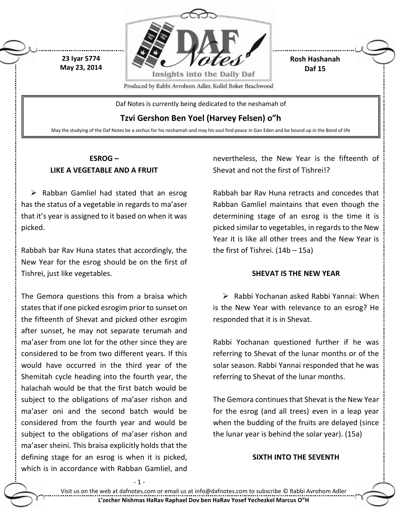



**Rosh Hashanah Daf 15**

Daf Notes is currently being dedicated to the neshamah of

## **Tzvi Gershon Ben Yoel (Harvey Felsen) o"h**

May the studying of the Daf Notes be a zechus for his neshamah and may his soul find peace in Gan Eden and be bound up in the Bond of life

### **ESROG – LIKE A VEGETABLE AND A FRUIT**

 $\triangleright$  Rabban Gamliel had stated that an esrog has the status of a vegetable in regards to ma'aser that it's year is assigned to it based on when it was picked.

Rabbah bar Rav Huna states that accordingly, the New Year for the esrog should be on the first of Tishrei, just like vegetables.

The Gemora questions this from a braisa which states that if one picked esrogim prior to sunset on the fifteenth of Shevat and picked other esrogim after sunset, he may not separate terumah and ma'aser from one lot for the other since they are considered to be from two different years. If this would have occurred in the third year of the Shemitah cycle heading into the fourth year, the halachah would be that the first batch would be subject to the obligations of ma'aser rishon and ma'aser oni and the second batch would be considered from the fourth year and would be subject to the obligations of ma'aser rishon and ma'aser sheini. This braisa explicitly holds that the defining stage for an esrog is when it is picked, which is in accordance with Rabban Gamliel, and

- 1 -

nevertheless, the New Year is the fifteenth of Shevat and not the first of Tishrei!?

Rabbah bar Rav Huna retracts and concedes that Rabban Gamliel maintains that even though the determining stage of an esrog is the time it is picked similar to vegetables, in regards to the New Year it is like all other trees and the New Year is the first of Tishrei. (14b – 15a)

#### **SHEVAT IS THE NEW YEAR**

 $\triangleright$  Rabbi Yochanan asked Rabbi Yannai: When is the New Year with relevance to an esrog? He responded that it is in Shevat.

Rabbi Yochanan questioned further if he was referring to Shevat of the lunar months or of the solar season. Rabbi Yannai responded that he was referring to Shevat of the lunar months.

The Gemora continues that Shevat is the New Year for the esrog (and all trees) even in a leap year when the budding of the fruits are delayed (since the lunar year is behind the solar year). (15a)

#### **SIXTH INTO THE SEVENTH**

Visit us on the web at dafnotes.com or email us at [info@dafnotes.com](mailto:info@dafnotes.com) to subscribe © Rabbi Avrohom Adler **L'zecher Nishmas HaRav Raphael Dov ben HaRav Yosef Yechezkel Marcus O"H**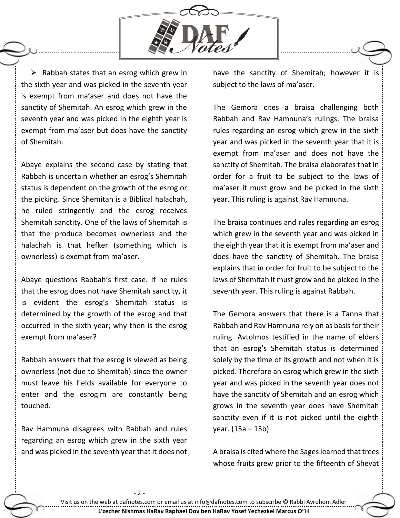

 $\triangleright$  Rabbah states that an esrog which grew in the sixth year and was picked in the seventh year is exempt from ma'aser and does not have the sanctity of Shemitah. An esrog which grew in the seventh year and was picked in the eighth year is exempt from ma'aser but does have the sanctity of Shemitah.

Abaye explains the second case by stating that Rabbah is uncertain whether an esrog's Shemitah status is dependent on the growth of the esrog or the picking. Since Shemitah is a Biblical halachah, he ruled stringently and the esrog receives Shemitah sanctity. One of the laws of Shemitah is that the produce becomes ownerless and the halachah is that hefker (something which is ownerless) is exempt from ma'aser.

Abaye questions Rabbah's first case. If he rules that the esrog does not have Shemitah sanctity, it is evident the esrog's Shemitah status is determined by the growth of the esrog and that occurred in the sixth year; why then is the esrog exempt from ma'aser?

Rabbah answers that the esrog is viewed as being ownerless (not due to Shemitah) since the owner must leave his fields available for everyone to enter and the esrogim are constantly being touched.

Rav Hamnuna disagrees with Rabbah and rules regarding an esrog which grew in the sixth year and was picked in the seventh year that it does not

have the sanctity of Shemitah; however it is subject to the laws of ma'aser.

The Gemora cites a braisa challenging both Rabbah and Rav Hamnuna's rulings. The braisa rules regarding an esrog which grew in the sixth year and was picked in the seventh year that it is exempt from ma'aser and does not have the sanctity of Shemitah. The braisa elaborates that in order for a fruit to be subject to the laws of ma'aser it must grow and be picked in the sixth year. This ruling is against Rav Hamnuna.

The braisa continues and rules regarding an esrog which grew in the seventh year and was picked in the eighth year that it is exempt from ma'aser and does have the sanctity of Shemitah. The braisa explains that in order for fruit to be subject to the laws of Shemitah it must grow and be picked in the seventh year. This ruling is against Rabbah.

The Gemora answers that there is a Tanna that Rabbah and Rav Hamnuna rely on as basis for their ruling. Avtolmos testified in the name of elders that an esrog's Shemitah status is determined solely by the time of its growth and not when it is picked. Therefore an esrog which grew in the sixth year and was picked in the seventh year does not have the sanctity of Shemitah and an esrog which grows in the seventh year does have Shemitah sanctity even if it is not picked until the eighth year. (15a – 15b)

A braisa is cited where the Sages learned that trees whose fruits grew prior to the fifteenth of Shevat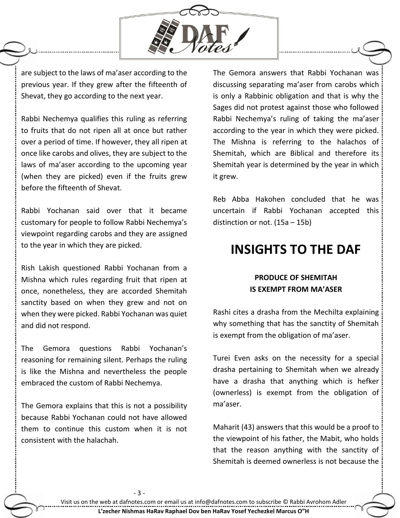

are subject to the laws of ma'aser according to the previous year. If they grew after the fifteenth of Shevat, they go according to the next year.

Rabbi Nechemya qualifies this ruling as referring to fruits that do not ripen all at once but rather over a period of time. If however, they all ripen at once like carobs and olives, they are subject to the laws of ma'aser according to the upcoming year (when they are picked) even if the fruits grew before the fifteenth of Shevat.

Rabbi Yochanan said over that it became customary for people to follow Rabbi Nechemya's viewpoint regarding carobs and they are assigned to the year in which they are picked.

Rish Lakish questioned Rabbi Yochanan from a Mishna which rules regarding fruit that ripen at once, nonetheless, they are accorded Shemitah sanctity based on when they grew and not on when they were picked. Rabbi Yochanan was quiet and did not respond.

The Gemora questions Rabbi Yochanan's reasoning for remaining silent. Perhaps the ruling is like the Mishna and nevertheless the people embraced the custom of Rabbi Nechemya.

The Gemora explains that this is not a possibility because Rabbi Yochanan could not have allowed them to continue this custom when it is not consistent with the halachah.

The Gemora answers that Rabbi Yochanan was discussing separating ma'aser from carobs which is only a Rabbinic obligation and that is why the Sages did not protest against those who followed Rabbi Nechemya's ruling of taking the ma'aser according to the year in which they were picked. The Mishna is referring to the halachos of Shemitah, which are Biblical and therefore its Shemitah year is determined by the year in which it grew.

Reb Abba Hakohen concluded that he was uncertain if Rabbi Yochanan accepted this distinction or not. (15a – 15b)

# **INSIGHTS TO THE DAF**

## **PRODUCE OF SHEMITAH IS EXEMPT FROM MA'ASER**

Rashi cites a drasha from the Mechilta explaining why something that has the sanctity of Shemitah is exempt from the obligation of ma'aser.

Turei Even asks on the necessity for a special drasha pertaining to Shemitah when we already have a drasha that anything which is hefker (ownerless) is exempt from the obligation of ma'aser.

Maharit (43) answers that this would be a proof to the viewpoint of his father, the Mabit, who holds that the reason anything with the sanctity of Shemitah is deemed ownerless is not because the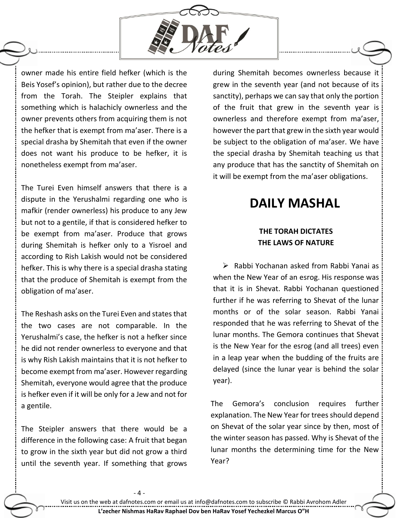

owner made his entire field hefker (which is the Beis Yosef's opinion), but rather due to the decree from the Torah. The Steipler explains that something which is halachicly ownerless and the owner prevents others from acquiring them is not the hefker that is exempt from ma'aser. There is a special drasha by Shemitah that even if the owner does not want his produce to be hefker, it is nonetheless exempt from ma'aser.

The Turei Even himself answers that there is a dispute in the Yerushalmi regarding one who is mafkir (render ownerless) his produce to any Jew but not to a gentile, if that is considered hefker to be exempt from ma'aser. Produce that grows during Shemitah is hefker only to a Yisroel and according to Rish Lakish would not be considered hefker. This is why there is a special drasha stating that the produce of Shemitah is exempt from the obligation of ma'aser.

The Reshash asks on the Turei Even and states that the two cases are not comparable. In the Yerushalmi's case, the hefker is not a hefker since he did not render ownerless to everyone and that is why Rish Lakish maintains that it is not hefker to become exempt from ma'aser. However regarding Shemitah, everyone would agree that the produce is hefker even if it will be only for a Jew and not for a gentile.

The Steipler answers that there would be a difference in the following case: A fruit that began to grow in the sixth year but did not grow a third until the seventh year. If something that grows during Shemitah becomes ownerless because it grew in the seventh year (and not because of its sanctity), perhaps we can say that only the portion of the fruit that grew in the seventh year is ownerless and therefore exempt from ma'aser, however the part that grew in the sixth year would be subject to the obligation of ma'aser. We have the special drasha by Shemitah teaching us that any produce that has the sanctity of Shemitah on it will be exempt from the ma'aser obligations.

# **DAILY MASHAL**

### **THE TORAH DICTATES THE LAWS OF NATURE**

 $\triangleright$  Rabbi Yochanan asked from Rabbi Yanai as when the New Year of an esrog. His response was that it is in Shevat. Rabbi Yochanan questioned further if he was referring to Shevat of the lunar months or of the solar season. Rabbi Yanai responded that he was referring to Shevat of the lunar months. The Gemora continues that Shevat is the New Year for the esrog (and all trees) even in a leap year when the budding of the fruits are delayed (since the lunar year is behind the solar year).

The Gemora's conclusion requires further explanation. The New Year for trees should depend on Shevat of the solar year since by then, most of the winter season has passed. Why is Shevat of the lunar months the determining time for the New Year?